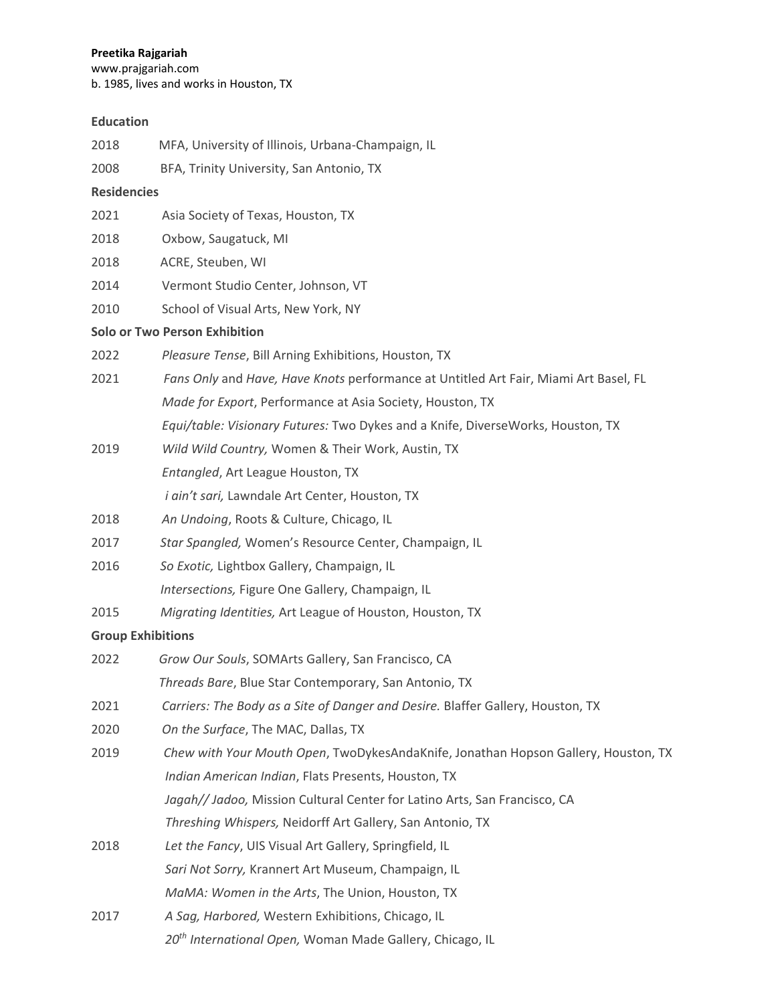## **Preetika Rajgariah**

www.prajgariah.com b. 1985, lives and works in Houston, TX

## **Education**

| 2018               | MFA, University of Illinois, Urbana-Champaign, IL                                    |
|--------------------|--------------------------------------------------------------------------------------|
| 2008               | BFA, Trinity University, San Antonio, TX                                             |
| <b>Residencies</b> |                                                                                      |
| 2021               | Asia Society of Texas, Houston, TX                                                   |
| 2018               | Oxbow, Saugatuck, MI                                                                 |
| 2018               | ACRE, Steuben, WI                                                                    |
| 2014               | Vermont Studio Center, Johnson, VT                                                   |
| 2010               | School of Visual Arts, New York, NY                                                  |
|                    | <b>Solo or Two Person Exhibition</b>                                                 |
| 2022               | Pleasure Tense, Bill Arning Exhibitions, Houston, TX                                 |
| 2021               | Fans Only and Have, Have Knots performance at Untitled Art Fair, Miami Art Basel, FL |
|                    | Made for Export, Performance at Asia Society, Houston, TX                            |
|                    | Equi/table: Visionary Futures: Two Dykes and a Knife, DiverseWorks, Houston, TX      |
| 2019               | Wild Wild Country, Women & Their Work, Austin, TX                                    |
|                    | Entangled, Art League Houston, TX                                                    |
|                    | i ain't sari, Lawndale Art Center, Houston, TX                                       |
| 2018               | An Undoing, Roots & Culture, Chicago, IL                                             |
| 2017               | Star Spangled, Women's Resource Center, Champaign, IL                                |
| 2016               | So Exotic, Lightbox Gallery, Champaign, IL                                           |
|                    | Intersections, Figure One Gallery, Champaign, IL                                     |
| 2015               | Migrating Identities, Art League of Houston, Houston, TX                             |
|                    | <b>Group Exhibitions</b>                                                             |
| 2022               | Grow Our Souls, SOMArts Gallery, San Francisco, CA                                   |
|                    | Threads Bare, Blue Star Contemporary, San Antonio, TX                                |
| 2021               | Carriers: The Body as a Site of Danger and Desire. Blaffer Gallery, Houston, TX      |
| 2020               | On the Surface, The MAC, Dallas, TX                                                  |
| 2019               | Chew with Your Mouth Open, TwoDykesAndaKnife, Jonathan Hopson Gallery, Houston, TX   |
|                    | Indian American Indian, Flats Presents, Houston, TX                                  |
|                    | Jagah// Jadoo, Mission Cultural Center for Latino Arts, San Francisco, CA            |
|                    | Threshing Whispers, Neidorff Art Gallery, San Antonio, TX                            |
| 2018               | Let the Fancy, UIS Visual Art Gallery, Springfield, IL                               |
|                    | Sari Not Sorry, Krannert Art Museum, Champaign, IL                                   |
|                    | MaMA: Women in the Arts, The Union, Houston, TX                                      |
| 2017               | A Sag, Harbored, Western Exhibitions, Chicago, IL                                    |
|                    | 20 <sup>th</sup> International Open, Woman Made Gallery, Chicago, IL                 |